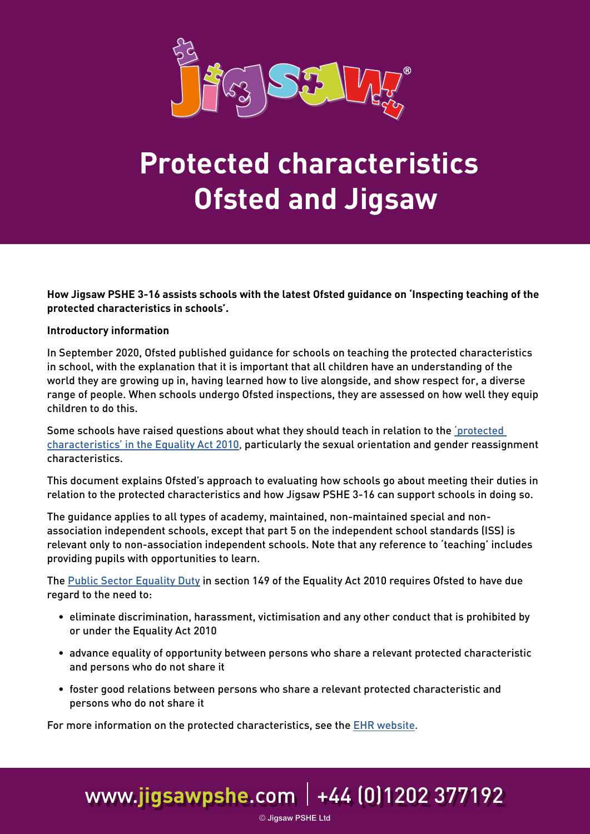

# **Protected characteristics Ofsted and Jigsaw**

**How Jigsaw PSHE 3-16 assists schools with the latest Ofsted guidance on 'Inspecting teaching of the protected characteristics in schools'.** 

# **Introductory information**

In September 2020, Ofsted published guidance for schools on teaching the protected characteristics in school, with the explanation that it is important that all children have an understanding of the world they are growing up in, having learned how to live alongside, and show respect for, a diverse range of people. When schools undergo Ofsted inspections, they are assessed on how well they equip children to do this.

Some schools have raised questions about what they should teach in relation to the ['protected](https://www.legislation.gov.uk/ukpga/2010/15/section/4)  [characteristics' in the Equality Act 2010](https://www.legislation.gov.uk/ukpga/2010/15/section/4), particularly the sexual orientation and gender reassignment characteristics.

This document explains Ofsted's approach to evaluating how schools go about meeting their duties in relation to the protected characteristics and how Jigsaw PSHE 3-16 can support schools in doing so.

The guidance applies to all types of academy, maintained, non-maintained special and nonassociation independent schools, except that part 5 on the independent school standards (ISS) is relevant only to non-association independent schools. Note that any reference to 'teaching' includes providing pupils with opportunities to learn.

The [Public Sector Equality Duty](https://www.legislation.gov.uk/ukpga/2010/15/section/149) in section 149 of the Equality Act 2010 requires Ofsted to have due regard to the need to:

- eliminate discrimination, harassment, victimisation and any other conduct that is prohibited by or under the Equality Act 2010
- advance equality of opportunity between persons who share a relevant protected characteristic and persons who do not share it
- foster good relations between persons who share a relevant protected characteristic and persons who do not share it

For more information on the protected characteristics, see the [EHR website.](https://www.equalityhumanrights.com/en/advice-and-guidance/your-rights-under-equality-act-2010)

# www.**jigsawpshe**.com +44 (0)1202 377192

© Jigsaw PSHE Ltd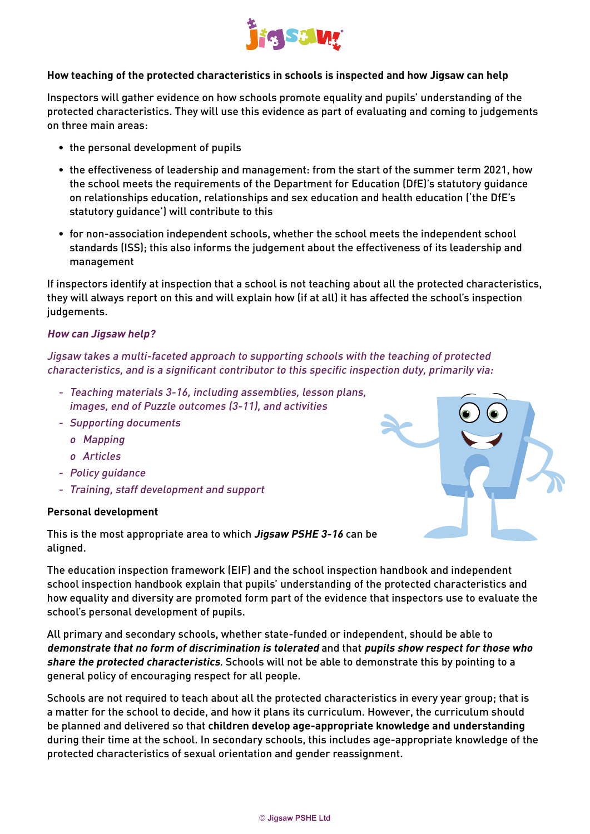

# **How teaching of the protected characteristics in schools is inspected and how Jigsaw can help**

Inspectors will gather evidence on how schools promote equality and pupils' understanding of the protected characteristics. They will use this evidence as part of evaluating and coming to judgements on three main areas:

- the personal development of pupils
- the effectiveness of leadership and management: from the start of the summer term 2021, how the school meets the requirements of the Department for Education (DfE)'s statutory guidance on relationships education, relationships and sex education and health education ('the DfE's statutory guidance') will contribute to this
- for non-association independent schools, whether the school meets the independent school standards (ISS); this also informs the judgement about the effectiveness of its leadership and management

If inspectors identify at inspection that a school is not teaching about all the protected characteristics, they will always report on this and will explain how (if at all) it has affected the school's inspection judgements.

# **How can Jigsaw help?**

Jigsaw takes a multi-faceted approach to supporting schools with the teaching of protected characteristics, and is a significant contributor to this specific inspection duty, primarily via:

- Teaching materials 3-16, including assemblies, lesson plans, images, end of Puzzle outcomes (3-11), and activities
- Supporting documents
	- <sup>o</sup> Mapping
	- o Articles
- Policy guidance
- Training, staff development and support

#### **Personal development**

This is the most appropriate area to which **Jigsaw PSHE 3-16** can be aligned.



The education inspection framework (EIF) and the school inspection handbook and independent school inspection handbook explain that pupils' understanding of the protected characteristics and how equality and diversity are promoted form part of the evidence that inspectors use to evaluate the school's personal development of pupils.

All primary and secondary schools, whether state-funded or independent, should be able to **demonstrate that no form of discrimination is tolerated** and that **pupils show respect for those who share the protected characteristics**. Schools will not be able to demonstrate this by pointing to a general policy of encouraging respect for all people.

Schools are not required to teach about all the protected characteristics in every year group; that is a matter for the school to decide, and how it plans its curriculum. However, the curriculum should be planned and delivered so that **children develop age-appropriate knowledge and understanding** during their time at the school. In secondary schools, this includes age-appropriate knowledge of the protected characteristics of sexual orientation and gender reassignment.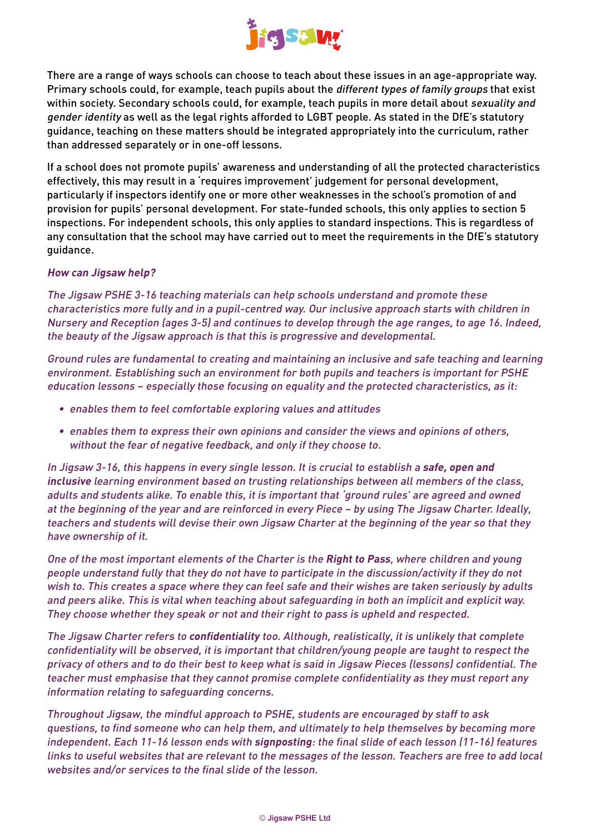

There are a range of ways schools can choose to teach about these issues in an age-appropriate way. Primary schools could, for example, teach pupils about the *different types of family groups* that exist within society. Secondary schools could, for example, teach pupils in more detail about sexuality and gender identity as well as the legal rights afforded to LGBT people. As stated in the DfE's statutory guidance, teaching on these matters should be integrated appropriately into the curriculum, rather than addressed separately or in one-off lessons.

If a school does not promote pupils' awareness and understanding of all the protected characteristics effectively, this may result in a 'requires improvement' judgement for personal development, particularly if inspectors identify one or more other weaknesses in the school's promotion of and provision for pupils' personal development. For state-funded schools, this only applies to section 5 inspections. For independent schools, this only applies to standard inspections. This is regardless of any consultation that the school may have carried out to meet the requirements in the DfE's statutory guidance.

### **How can Jigsaw help?**

The Jigsaw PSHE 3-16 teaching materials can help schools understand and promote these characteristics more fully and in a pupil-centred way. Our inclusive approach starts with children in Nursery and Reception (ages 3-5) and continues to develop through the age ranges, to age 16. Indeed, the beauty of the Jigsaw approach is that this is progressive and developmental.

Ground rules are fundamental to creating and maintaining an inclusive and safe teaching and learning environment. Establishing such an environment for both pupils and teachers is important for PSHE education lessons – especially those focusing on equality and the protected characteristics, as it:

- enables them to feel comfortable exploring values and attitudes
- enables them to express their own opinions and consider the views and opinions of others, without the fear of negative feedback, and only if they choose to.

In Jigsaw 3-16, this happens in every single lesson. It is crucial to establish a **safe, open and inclusive** learning environment based on trusting relationships between all members of the class, adults and students alike. To enable this, it is important that 'ground rules' are agreed and owned at the beginning of the year and are reinforced in every Piece – by using The Jigsaw Charter. Ideally, teachers and students will devise their own Jigsaw Charter at the beginning of the year so that they have ownership of it.

One of the most important elements of the Charter is the **Right to Pass**, where children and young people understand fully that they do not have to participate in the discussion/activity if they do not wish to. This creates a space where they can feel safe and their wishes are taken seriously by adults and peers alike. This is vital when teaching about safeguarding in both an implicit and explicit way. They choose whether they speak or not and their right to pass is upheld and respected.

The Jigsaw Charter refers to **confidentiality** too. Although, realistically, it is unlikely that complete confidentiality will be observed, it is important that children/young people are taught to respect the privacy of others and to do their best to keep what is said in Jigsaw Pieces (lessons) confidential. The teacher must emphasise that they cannot promise complete confidentiality as they must report any information relating to safeguarding concerns.

Throughout Jigsaw, the mindful approach to PSHE, students are encouraged by staff to ask questions, to find someone who can help them, and ultimately to help themselves by becoming more independent. Each 11-16 lesson ends with **signposting**: the final slide of each lesson (11-16) features links to useful websites that are relevant to the messages of the lesson. Teachers are free to add local websites and/or services to the final slide of the lesson.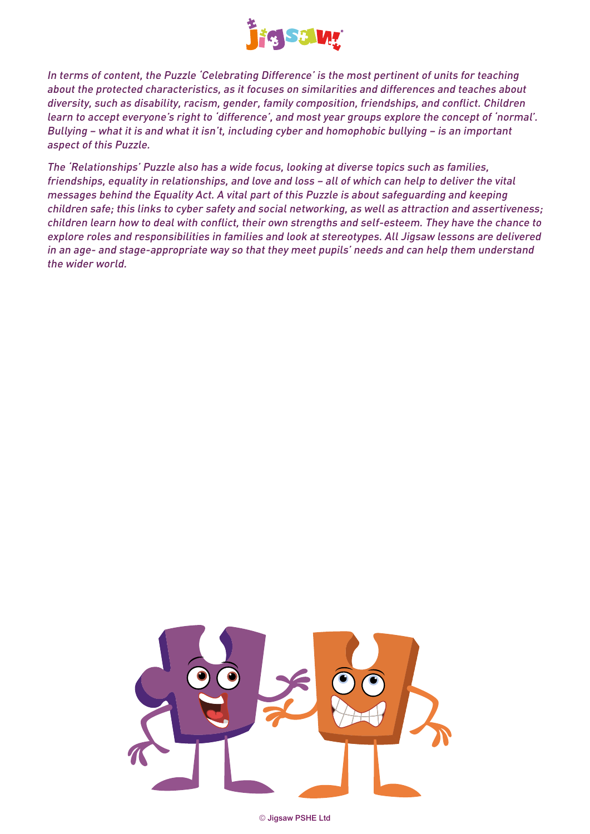

In terms of content, the Puzzle 'Celebrating Difference' is the most pertinent of units for teaching about the protected characteristics, as it focuses on similarities and differences and teaches about diversity, such as disability, racism, gender, family composition, friendships, and conflict. Children learn to accept everyone's right to 'difference', and most year groups explore the concept of 'normal'. Bullying – what it is and what it isn't, including cyber and homophobic bullying – is an important aspect of this Puzzle.

The 'Relationships' Puzzle also has a wide focus, looking at diverse topics such as families, friendships, equality in relationships, and love and loss – all of which can help to deliver the vital messages behind the Equality Act. A vital part of this Puzzle is about safeguarding and keeping children safe; this links to cyber safety and social networking, as well as attraction and assertiveness; children learn how to deal with conflict, their own strengths and self-esteem. They have the chance to explore roles and responsibilities in families and look at stereotypes. All Jigsaw lessons are delivered in an age- and stage-appropriate way so that they meet pupils' needs and can help them understand the wider world.

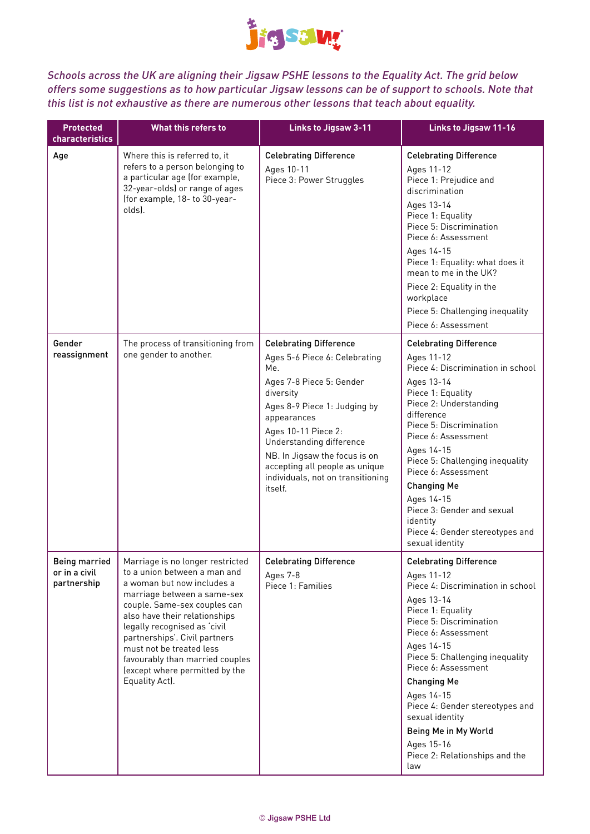

Schools across the UK are aligning their Jigsaw PSHE lessons to the Equality Act. The grid below offers some suggestions as to how particular Jigsaw lessons can be of support to schools. Note that this list is not exhaustive as there are numerous other lessons that teach about equality.

| <b>Protected</b><br>characteristics           | What this refers to                                                                                                                                                                                                                                                                                                                                                                | <b>Links to Jigsaw 3-11</b>                                                                                                                                                                                                                                                                                                         | Links to Jigsaw 11-16                                                                                                                                                                                                                                                                                                                                                                                                     |
|-----------------------------------------------|------------------------------------------------------------------------------------------------------------------------------------------------------------------------------------------------------------------------------------------------------------------------------------------------------------------------------------------------------------------------------------|-------------------------------------------------------------------------------------------------------------------------------------------------------------------------------------------------------------------------------------------------------------------------------------------------------------------------------------|---------------------------------------------------------------------------------------------------------------------------------------------------------------------------------------------------------------------------------------------------------------------------------------------------------------------------------------------------------------------------------------------------------------------------|
| Age                                           | Where this is referred to, it<br>refers to a person belonging to<br>a particular age (for example,<br>32-year-olds) or range of ages<br>(for example, 18- to 30-year-<br>olds).                                                                                                                                                                                                    | <b>Celebrating Difference</b><br>Ages 10-11<br>Piece 3: Power Struggles                                                                                                                                                                                                                                                             | <b>Celebrating Difference</b><br>Ages 11-12<br>Piece 1: Prejudice and<br>discrimination<br>Ages 13-14<br>Piece 1: Equality<br>Piece 5: Discrimination<br>Piece 6: Assessment<br>Ages 14-15<br>Piece 1: Equality: what does it<br>mean to me in the UK?<br>Piece 2: Equality in the<br>workplace<br>Piece 5: Challenging inequality<br>Piece 6: Assessment                                                                 |
| Gender<br>reassignment                        | The process of transitioning from<br>one gender to another.                                                                                                                                                                                                                                                                                                                        | <b>Celebrating Difference</b><br>Ages 5-6 Piece 6: Celebrating<br>Me.<br>Ages 7-8 Piece 5: Gender<br>diversity<br>Ages 8-9 Piece 1: Judging by<br>appearances<br>Ages 10-11 Piece 2:<br>Understanding difference<br>NB. In Jigsaw the focus is on<br>accepting all people as unique<br>individuals, not on transitioning<br>itself. | <b>Celebrating Difference</b><br>Ages 11-12<br>Piece 4: Discrimination in school<br>Ages 13-14<br>Piece 1: Equality<br>Piece 2: Understanding<br>difference<br>Piece 5: Discrimination<br>Piece 6: Assessment<br>Ages 14-15<br>Piece 5: Challenging inequality<br>Piece 6: Assessment<br><b>Changing Me</b><br>Ages 14-15<br>Piece 3: Gender and sexual<br>identity<br>Piece 4: Gender stereotypes and<br>sexual identity |
| Being married<br>or in a civil<br>partnership | Marriage is no longer restricted<br>to a union between a man and<br>a woman but now includes a<br>marriage between a same-sex<br>couple. Same-sex couples can<br>also have their relationships<br>legally recognised as 'civil<br>partnerships'. Civil partners<br>must not be treated less<br>favourably than married couples<br>(except where permitted by the<br>Equality Act). | <b>Celebrating Difference</b><br>Ages 7-8<br>Piece 1: Families                                                                                                                                                                                                                                                                      | <b>Celebrating Difference</b><br>Ages 11-12<br>Piece 4: Discrimination in school<br>Ages 13-14<br>Piece 1: Equality<br>Piece 5: Discrimination<br>Piece 6: Assessment<br>Ages 14-15<br>Piece 5: Challenging inequality<br>Piece 6: Assessment<br><b>Changing Me</b><br>Ages 14-15<br>Piece 4: Gender stereotypes and<br>sexual identity<br>Being Me in My World<br>Ages 15-16<br>Piece 2: Relationships and the<br>law    |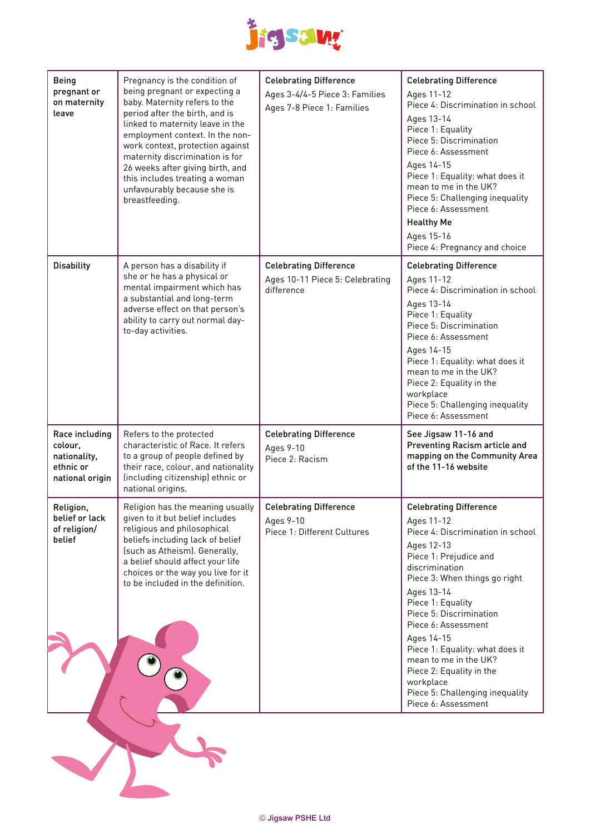

| <b>Being</b><br>pregnant or<br>on maternity<br>leave                      | Pregnancy is the condition of<br>being pregnant or expecting a<br>baby. Maternity refers to the<br>period after the birth, and is<br>linked to maternity leave in the<br>employment context. In the non-<br>work context, protection against<br>maternity discrimination is for<br>26 weeks after giving birth, and<br>this includes treating a woman<br>unfavourably because she is<br>breastfeeding. | <b>Celebrating Difference</b><br>Ages 3-4/4-5 Piece 3: Families<br>Ages 7-8 Piece 1: Families | <b>Celebrating Difference</b><br>Ages 11-12<br>Piece 4: Discrimination in school<br>Ages 13-14<br>Piece 1: Equality<br>Piece 5: Discrimination<br>Piece 6: Assessment<br>Ages 14-15<br>Piece 1: Equality: what does it<br>mean to me in the UK?<br>Piece 5: Challenging inequality<br>Piece 6: Assessment<br><b>Healthy Me</b><br>Ages 15-16<br>Piece 4: Pregnancy and choice                                                                 |
|---------------------------------------------------------------------------|--------------------------------------------------------------------------------------------------------------------------------------------------------------------------------------------------------------------------------------------------------------------------------------------------------------------------------------------------------------------------------------------------------|-----------------------------------------------------------------------------------------------|-----------------------------------------------------------------------------------------------------------------------------------------------------------------------------------------------------------------------------------------------------------------------------------------------------------------------------------------------------------------------------------------------------------------------------------------------|
| <b>Disability</b>                                                         | A person has a disability if<br>she or he has a physical or<br>mental impairment which has<br>a substantial and long-term<br>adverse effect on that person's<br>ability to carry out normal day-<br>to-day activities.                                                                                                                                                                                 | <b>Celebrating Difference</b><br>Ages 10-11 Piece 5: Celebrating<br>difference                | <b>Celebrating Difference</b><br>Ages 11-12<br>Piece 4: Discrimination in school<br>Ages 13-14<br>Piece 1: Equality<br>Piece 5: Discrimination<br>Piece 6: Assessment<br>Ages 14-15<br>Piece 1: Equality: what does it<br>mean to me in the UK?<br>Piece 2: Equality in the<br>workplace<br>Piece 5: Challenging inequality<br>Piece 6: Assessment                                                                                            |
| Race including<br>colour,<br>nationality,<br>ethnic or<br>national origin | Refers to the protected<br>characteristic of Race. It refers<br>to a group of people defined by<br>their race, colour, and nationality<br>(including citizenship) ethnic or<br>national origins.                                                                                                                                                                                                       | <b>Celebrating Difference</b><br>Ages 9-10<br>Piece 2: Racism                                 | See Jigsaw 11-16 and<br>Preventing Racism article and<br>mapping on the Community Area<br>of the 11-16 website                                                                                                                                                                                                                                                                                                                                |
| Religion,<br>belief or lack<br>of religion/<br>belief                     | Religion has the meaning usually<br>given to it but belief includes<br>religious and philosophical<br>beliefs including lack of belief<br>(such as Atheism). Generally,<br>a belief should affect your life<br>choices or the way you live for it<br>to be included in the definition.                                                                                                                 | <b>Celebrating Difference</b><br>Ages 9-10<br>Piece 1: Different Cultures                     | <b>Celebrating Difference</b><br>Ages 11-12<br>Piece 4: Discrimination in school<br>Ages 12-13<br>Piece 1: Prejudice and<br>discrimination<br>Piece 3: When things go right<br>Ages 13-14<br>Piece 1: Equality<br>Piece 5: Discrimination<br>Piece 6: Assessment<br>Ages 14-15<br>Piece 1: Equality: what does it<br>mean to me in the UK?<br>Piece 2: Equality in the<br>workplace<br>Piece 5: Challenging inequality<br>Piece 6: Assessment |
|                                                                           |                                                                                                                                                                                                                                                                                                                                                                                                        |                                                                                               |                                                                                                                                                                                                                                                                                                                                                                                                                                               |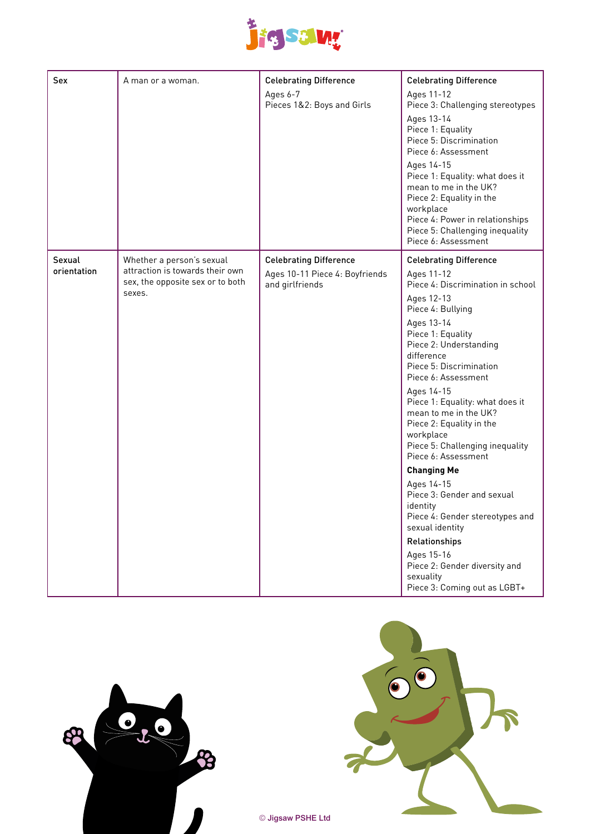

| Sex                   | A man or a woman.                                                                                          | <b>Celebrating Difference</b><br>Ages 6-7<br>Pieces 1&2: Boys and Girls            | <b>Celebrating Difference</b><br>Ages 11-12<br>Piece 3: Challenging stereotypes<br>Ages 13-14<br>Piece 1: Equality<br>Piece 5: Discrimination<br>Piece 6: Assessment<br>Ages 14-15<br>Piece 1: Equality: what does it<br>mean to me in the UK?<br>Piece 2: Equality in the<br>workplace<br>Piece 4: Power in relationships<br>Piece 5: Challenging inequality<br>Piece 6: Assessment                                                                                                                                                                                                                                                                                           |
|-----------------------|------------------------------------------------------------------------------------------------------------|------------------------------------------------------------------------------------|--------------------------------------------------------------------------------------------------------------------------------------------------------------------------------------------------------------------------------------------------------------------------------------------------------------------------------------------------------------------------------------------------------------------------------------------------------------------------------------------------------------------------------------------------------------------------------------------------------------------------------------------------------------------------------|
| Sexual<br>orientation | Whether a person's sexual<br>attraction is towards their own<br>sex, the opposite sex or to both<br>sexes. | <b>Celebrating Difference</b><br>Ages 10-11 Piece 4: Boyfriends<br>and girlfriends | <b>Celebrating Difference</b><br>Ages 11-12<br>Piece 4: Discrimination in school<br>Ages 12-13<br>Piece 4: Bullying<br>Ages 13-14<br>Piece 1: Equality<br>Piece 2: Understanding<br>difference<br>Piece 5: Discrimination<br>Piece 6: Assessment<br>Ages 14-15<br>Piece 1: Equality: what does it<br>mean to me in the UK?<br>Piece 2: Equality in the<br>workplace<br>Piece 5: Challenging inequality<br>Piece 6: Assessment<br><b>Changing Me</b><br>Ages 14-15<br>Piece 3: Gender and sexual<br>identity<br>Piece 4: Gender stereotypes and<br>sexual identity<br>Relationships<br>Ages 15-16<br>Piece 2: Gender diversity and<br>sexuality<br>Piece 3: Coming out as LGBT+ |



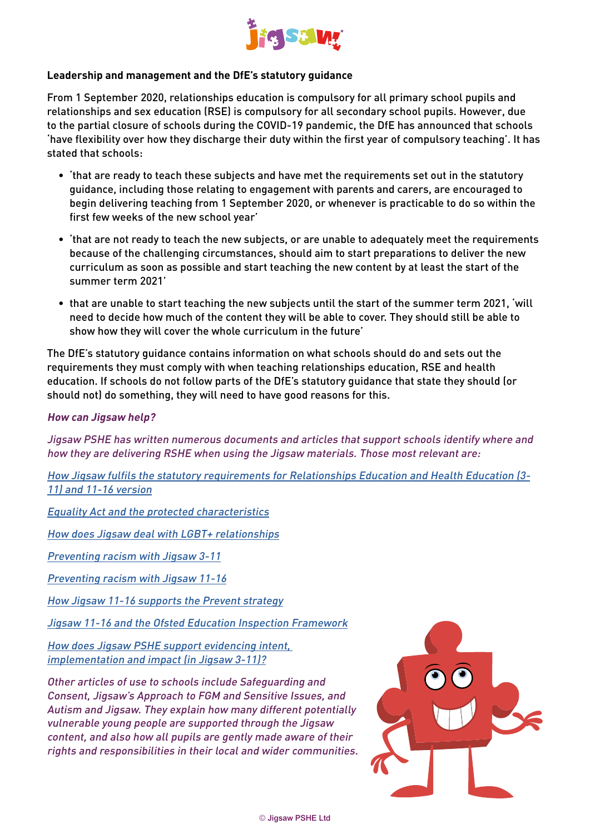

#### **Leadership and management and the DfE's statutory guidance**

From 1 September 2020, relationships education is compulsory for all primary school pupils and relationships and sex education (RSE) is compulsory for all secondary school pupils. However, due to the partial closure of schools during the COVID-19 pandemic, the DfE has announced that schools 'have flexibility over how they discharge their duty within the first year of compulsory teaching'. It has stated that schools:

- 'that are ready to teach these subjects and have met the requirements set out in the statutory guidance, including those relating to engagement with parents and carers, are encouraged to begin delivering teaching from 1 September 2020, or whenever is practicable to do so within the first few weeks of the new school year'
- 'that are not ready to teach the new subjects, or are unable to adequately meet the requirements because of the challenging circumstances, should aim to start preparations to deliver the new curriculum as soon as possible and start teaching the new content by at least the start of the summer term 2021'
- that are unable to start teaching the new subjects until the start of the summer term 2021, 'will need to decide how much of the content they will be able to cover. They should still be able to show how they will cover the whole curriculum in the future'

The DfE's statutory guidance contains information on what schools should do and sets out the requirements they must comply with when teaching relationships education, RSE and health education. If schools do not follow parts of the DfE's statutory guidance that state they should (or should not) do something, they will need to have good reasons for this.

#### **How can Jigsaw help?**

Jigsaw PSHE has written numerous documents and articles that support schools identify where and how they are delivering RSHE when using the Jigsaw materials. Those most relevant are:

[How Jigsaw fulfils the statutory requirements for Relationships Education and Health Education \(3-](https://www.jigsawpshe.com/jigsaw-pshe-fulfils-statutory-requirements-for-relationships-rse-and-health-education/) [11\) and 11-16 version](https://www.jigsawpshe.com/jigsaw-pshe-fulfils-statutory-requirements-for-relationships-rse-and-health-education/)

[Equality Act and the protected characteristics](https://www.jigsawpshe.com/jigsaw-pshe-covers-the-equality-act-and-protected-characteristics/)

[How does Jigsaw deal with LGBT+ relationships](https://www.jigsawpshe.com/how-does-jigsaw-deal-with-lgbtq-relationships-in-jigsaw-3-11/)

[Preventing racism with Jigsaw 3-11](https://www.jigsawpshe.com/jigsaw-3-11-preventing-racism/)

[Preventing racism with Jigsaw 11-16](https://www.jigsawpshe.com/wp-content/uploads/2020/06/Preventing-Racism-with-Jigsaw-11-16.pdf)

[How Jigsaw 11-16 supports the Prevent strategy](https://www.jigsawpshe.com/how-jigsaw-11-16-supports-the-prevent-strategy/)

[Jigsaw 11-16 and the Ofsted Education Inspection Framework](https://www.jigsawpshe.com/jigsaw-11-16-and-ofsted-education-inspection-framework/)

[How does Jigsaw PSHE support evidencing intent,](https://www.jigsawpshe.com/how-does-jigsaw-pshe-support-evidencing-intent-implementation-and-impact/)  [implementation and impact \(in Jigsaw 3-11\)?](https://www.jigsawpshe.com/how-does-jigsaw-pshe-support-evidencing-intent-implementation-and-impact/)

Other articles of use to schools include Safeguarding and Consent, Jigsaw's Approach to FGM and Sensitive Issues, and Autism and Jigsaw. They explain how many different potentially vulnerable young people are supported through the Jigsaw content, and also how all pupils are gently made aware of their rights and responsibilities in their local and wider communities.

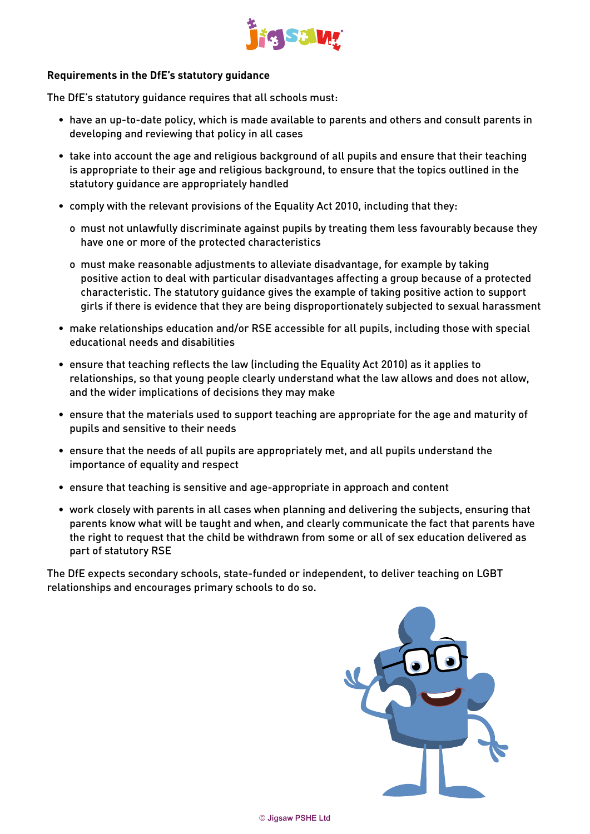

### **Requirements in the DfE's statutory guidance**

The DfE's statutory guidance requires that all schools must:

- have an up-to-date policy, which is made available to parents and others and consult parents in developing and reviewing that policy in all cases
- take into account the age and religious background of all pupils and ensure that their teaching is appropriate to their age and religious background, to ensure that the topics outlined in the statutory guidance are appropriately handled
- comply with the relevant provisions of the Equality Act 2010, including that they:
	- o must not unlawfully discriminate against pupils by treating them less favourably because they have one or more of the protected characteristics
	- o must make reasonable adjustments to alleviate disadvantage, for example by taking positive action to deal with particular disadvantages affecting a group because of a protected characteristic. The statutory guidance gives the example of taking positive action to support girls if there is evidence that they are being disproportionately subjected to sexual harassment
- make relationships education and/or RSE accessible for all pupils, including those with special educational needs and disabilities
- ensure that teaching reflects the law (including the Equality Act 2010) as it applies to relationships, so that young people clearly understand what the law allows and does not allow, and the wider implications of decisions they may make
- ensure that the materials used to support teaching are appropriate for the age and maturity of pupils and sensitive to their needs
- ensure that the needs of all pupils are appropriately met, and all pupils understand the importance of equality and respect
- ensure that teaching is sensitive and age-appropriate in approach and content
- work closely with parents in all cases when planning and delivering the subjects, ensuring that parents know what will be taught and when, and clearly communicate the fact that parents have the right to request that the child be withdrawn from some or all of sex education delivered as part of statutory RSE

The DfE expects secondary schools, state-funded or independent, to deliver teaching on LGBT relationships and encourages primary schools to do so.